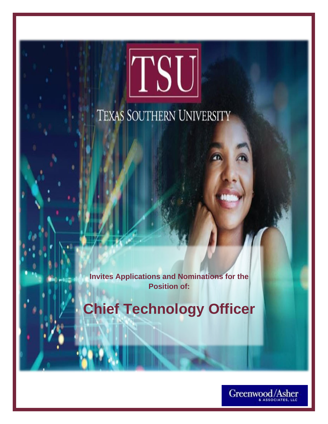# TSU TEXAS SOUTHERN UNIVERSITY

**Invites Applications and Nominations for the Position of:**

**Chief Technology Officer**

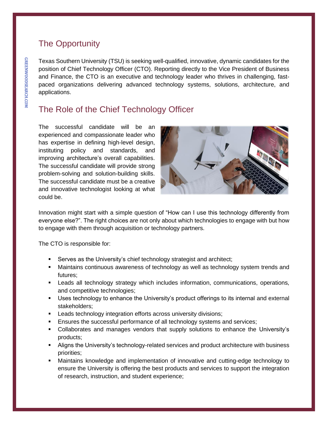# The Opportunity

Texas Southern University (TSU) is seeking well-qualified, innovative, dynamic candidates for the position of Chief Technology Officer (CTO). Reporting directly to the Vice President of Business and Finance, the CTO is an executive and technology leader who thrives in challenging, fastpaced organizations delivering advanced technology systems, solutions, architecture, and applications.

# The Role of the Chief Technology Officer

The successful candidate will be an experienced and compassionate leader who has expertise in defining high-level design, instituting policy and standards, and improving architecture's overall capabilities. The successful candidate will provide strong problem-solving and solution-building skills. The successful candidate must be a creative and innovative technologist looking at what could be.



Innovation might start with a simple question of "How can I use this technology differently from everyone else?". The right choices are not only about which technologies to engage with but how to engage with them through acquisition or technology partners.

The CTO is responsible for:

- Serves as the University's chief technology strategist and architect;
- **■** Maintains continuous awareness of technology as well as technology system trends and futures;
- **EXECT A** Leads all technology strategy which includes information, communications, operations, and competitive technologies;
- Uses technology to enhance the University's product offerings to its internal and external stakeholders;
- **EXECT** Leads technology integration efforts across university divisions;
- **Ensures the successful performance of all technology systems and services;**
- Collaborates and manages vendors that supply solutions to enhance the University's products;
- **E** Aligns the University's technology-related services and product architecture with business priorities;
- Maintains knowledge and implementation of innovative and cutting-edge technology to ensure the University is offering the best products and services to support the integration of research, instruction, and student experience;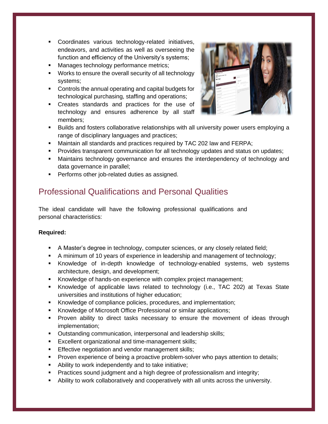- Coordinates various technology-related initiatives, endeavors, and activities as well as overseeing the function and efficiency of the University's systems;
- Manages technology performance metrics;
- Works to ensure the overall security of all technology systems;
- Controls the annual operating and capital budgets for technological purchasing, staffing and operations;
- Creates standards and practices for the use of technology and ensures adherence by all staff members;



- Builds and fosters collaborative relationships with all university power users employing a range of disciplinary languages and practices;
- Maintain all standards and practices required by TAC 202 law and FERPA;
- **Provides transparent communication for all technology updates and status on updates;**
- **■** Maintains technology governance and ensures the interdependency of technology and data governance in parallel;
- **•** Performs other job-related duties as assigned.

# Professional Qualifications and Personal Qualities

The ideal candidate will have the following professional qualifications and personal characteristics:

### **Required:**

- A Master's degree in technology, computer sciences, or any closely related field;
- **EXT** A minimum of 10 years of experience in leadership and management of technology;
- **EXAL** Knowledge of in-depth knowledge of technology-enabled systems, web systems architecture, design, and development;
- Knowledge of hands-on experience with complex project management;
- Knowledge of applicable laws related to technology (i.e., TAC 202) at Texas State universities and institutions of higher education;
- Knowledge of compliance policies, procedures, and implementation;
- Knowledge of Microsoft Office Professional or similar applications;
- Proven ability to direct tasks necessary to ensure the movement of ideas through implementation;
- **Outstanding communication, interpersonal and leadership skills;**
- **Excellent organizational and time-management skills;**
- **Effective negotiation and vendor management skills;**
- **Proven experience of being a proactive problem-solver who pays attention to details;**
- Ability to work independently and to take initiative;
- **•** Practices sound judgment and a high degree of professionalism and integrity;
- Ability to work collaboratively and cooperatively with all units across the university.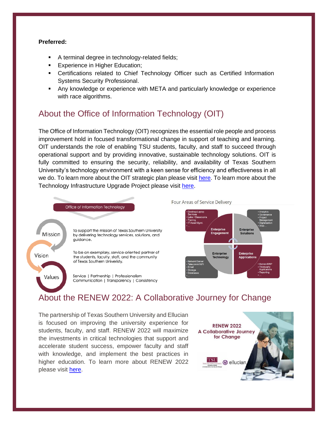#### **Preferred:**

- A terminal degree in technology-related fields;
- **Experience in Higher Education;**
- **EXEC** Certifications related to Chief Technology Officer such as Certified Information Systems Security Professional.
- **EXPLO Any knowledge or experience with META and particularly knowledge or experience** with race algorithms.

## About the Office of Information Technology (OIT)

The Office of Information Technology (OIT) recognizes the essential role people and process improvement hold in focused transformational change in support of teaching and learning. OIT understands the role of enabling TSU students, faculty, and staff to succeed through operational support and by providing innovative, sustainable technology solutions. OIT is fully committed to ensuring the security, reliability, and availability of Texas Southern University's technology environment with a keen sense for efficiency and effectiveness in all we do. To learn more about the OIT strategic plan please visit [here.](http://www.tsu.edu/about/administration/office-of-information-technology/about/strategic-plan.html) To learn more about the Technology Infrastructure Upgrade Project please visit [here.](http://www.tsu.edu/about/administration/office-of-information-technology/about/tiup.html)



Four Areas of Service Delivery



# About the RENEW 2022: A Collaborative Journey for Change

The partnership of Texas Southern University and Ellucian is focused on improving the university experience for students, faculty, and staff. RENEW 2022 will maximize the investments in critical technologies that support and accelerate student success, empower faculty and staff with knowledge, and implement the best practices in higher education. To learn more about RENEW 2022 please visit [here.](http://www.tsu.edu/about/administration/office-of-information-technology/project-management-governance/renew-2022.html)

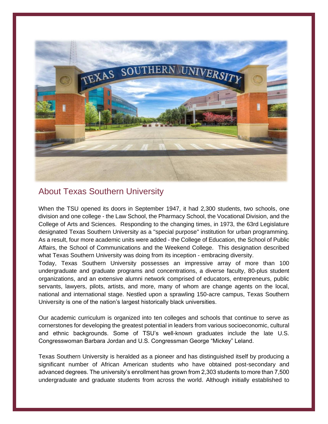

## About Texas Southern University

When the TSU opened its doors in September 1947, it had 2,300 students, two schools, one division and one college - the Law School, the Pharmacy School, the Vocational Division, and the College of Arts and Sciences. Responding to the changing times, in 1973, the 63rd Legislature designated Texas Southern University as a "special purpose" institution for urban programming. As a result, four more academic units were added - the College of Education, the School of Public Affairs, the School of Communications and the Weekend College. This designation described what Texas Southern University was doing from its inception - embracing diversity.

Today, Texas Southern University possesses an impressive array of more than 100 undergraduate and graduate programs and concentrations, a diverse faculty, 80-plus student organizations, and an extensive alumni network comprised of educators, entrepreneurs, public servants, lawyers, pilots, artists, and more, many of whom are change agents on the local, national and international stage. Nestled upon a sprawling 150-acre campus, Texas Southern University is one of the nation's largest historically black universities.

Our academic curriculum is organized into ten colleges and schools that continue to serve as cornerstones for developing the greatest potential in leaders from various socioeconomic, cultural and ethnic backgrounds. Some of TSU's well-known graduates include the late U.S. Congresswoman Barbara Jordan and U.S. Congressman George "Mickey" Leland.

Texas Southern University is heralded as a pioneer and has distinguished itself by producing a significant number of African American students who have obtained post-secondary and advanced degrees. The university's enrollment has grown from 2,303 students to more than 7,500 undergraduate and graduate students from across the world. Although initially established to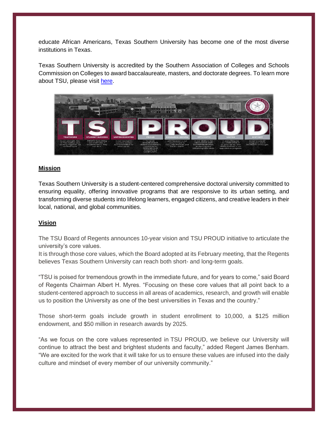educate African Americans, Texas Southern University has become one of the most diverse institutions in Texas.

Texas Southern University is accredited by the Southern Association of Colleges and Schools Commission on Colleges to award baccalaureate, masters, and doctorate degrees. To learn more about TSU, please visit [here.](http://www.tsu.edu/index.html)



#### **Mission**

Texas Southern University is a student-centered comprehensive doctoral university committed to ensuring equality, offering innovative programs that are responsive to its urban setting, and transforming diverse students into lifelong learners, engaged citizens, and creative leaders in their local, national, and global communities.

#### **Vision**

The TSU Board of Regents announces 10-year vision and TSU PROUD initiative to articulate the university's core values.

It is through those core values, which the Board adopted at its February meeting, that the Regents believes Texas Southern University can reach both short- and long-term goals.

"TSU is poised for tremendous growth in the immediate future, and for years to come," said Board of Regents Chairman Albert H. Myres. "Focusing on these core values that all point back to a student-centered approach to success in all areas of academics, research, and growth will enable us to position the University as one of the best universities in Texas and the country."

Those short-term goals include growth in student enrollment to 10,000, a \$125 million endowment, and \$50 million in research awards by 2025.

"As we focus on the core values represented in TSU PROUD, we believe our University will continue to attract the best and brightest students and faculty," added Regent James Benham. "We are excited for the work that it will take for us to ensure these values are infused into the daily culture and mindset of every member of our university community."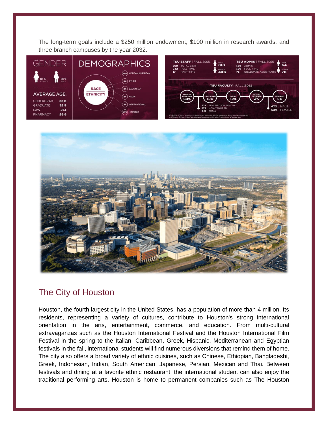The long-term goals include a \$250 million endowment, \$100 million in research awards, and three branch campuses by the year 2032.





## The City of Houston

Houston, the fourth largest city in the United States, has a population of more than 4 million. Its residents, representing a variety of cultures, contribute to Houston's strong international orientation in the arts, entertainment, commerce, and education. From multi-cultural extravaganzas such as the Houston International Festival and the Houston International Film Festival in the spring to the Italian, Caribbean, Greek, Hispanic, Mediterranean and Egyptian festivals in the fall, international students will find numerous diversions that remind them of home. The city also offers a broad variety of ethnic cuisines, such as Chinese, Ethiopian, Bangladeshi, Greek, Indonesian, Indian, South American, Japanese, Persian, Mexican and Thai. Between festivals and dining at a favorite ethnic restaurant, the international student can also enjoy the traditional performing arts. Houston is home to permanent companies such as The Houston